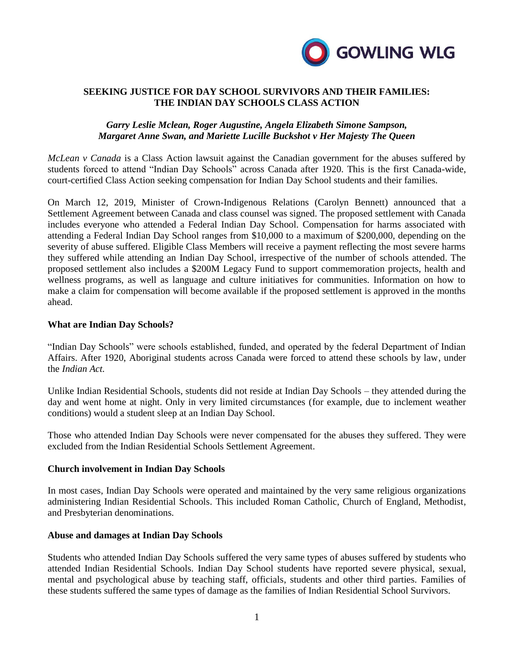

# **SEEKING JUSTICE FOR DAY SCHOOL SURVIVORS AND THEIR FAMILIES: THE INDIAN DAY SCHOOLS CLASS ACTION**

# *Garry Leslie Mclean, Roger Augustine, Angela Elizabeth Simone Sampson, Margaret Anne Swan, and Mariette Lucille Buckshot v Her Majesty The Queen*

*McLean v Canada* is a Class Action lawsuit against the Canadian government for the abuses suffered by students forced to attend "Indian Day Schools" across Canada after 1920. This is the first Canada-wide, court-certified Class Action seeking compensation for Indian Day School students and their families.

On March 12, 2019, Minister of Crown-Indigenous Relations (Carolyn Bennett) announced that a Settlement Agreement between Canada and class counsel was signed. The proposed settlement with Canada includes everyone who attended a Federal Indian Day School. Compensation for harms associated with attending a Federal Indian Day School ranges from \$10,000 to a maximum of \$200,000, depending on the severity of abuse suffered. Eligible Class Members will receive a payment reflecting the most severe harms they suffered while attending an Indian Day School, irrespective of the number of schools attended. The proposed settlement also includes a \$200M Legacy Fund to support commemoration projects, health and wellness programs, as well as language and culture initiatives for communities. Information on how to make a claim for compensation will become available if the proposed settlement is approved in the months ahead.

# **What are Indian Day Schools?**

"Indian Day Schools" were schools established, funded, and operated by the federal Department of Indian Affairs. After 1920, Aboriginal students across Canada were forced to attend these schools by law, under the *Indian Act.*

Unlike Indian Residential Schools, students did not reside at Indian Day Schools – they attended during the day and went home at night. Only in very limited circumstances (for example, due to inclement weather conditions) would a student sleep at an Indian Day School.

Those who attended Indian Day Schools were never compensated for the abuses they suffered. They were excluded from the Indian Residential Schools Settlement Agreement.

# **Church involvement in Indian Day Schools**

In most cases, Indian Day Schools were operated and maintained by the very same religious organizations administering Indian Residential Schools. This included Roman Catholic, Church of England, Methodist, and Presbyterian denominations.

# **Abuse and damages at Indian Day Schools**

Students who attended Indian Day Schools suffered the very same types of abuses suffered by students who attended Indian Residential Schools. Indian Day School students have reported severe physical, sexual, mental and psychological abuse by teaching staff, officials, students and other third parties. Families of these students suffered the same types of damage as the families of Indian Residential School Survivors.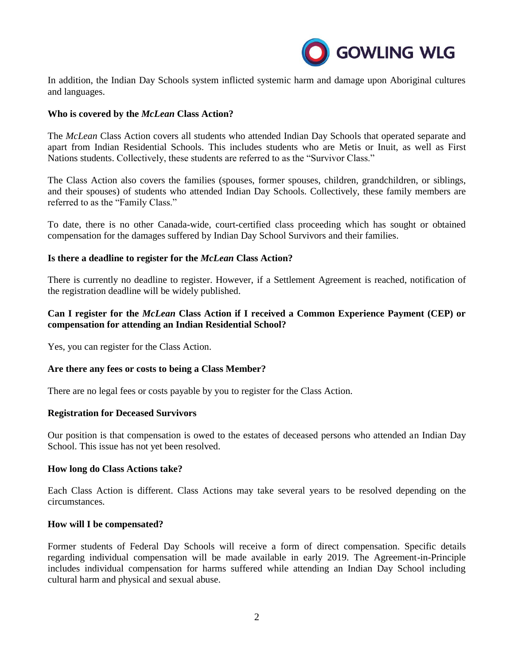

In addition, the Indian Day Schools system inflicted systemic harm and damage upon Aboriginal cultures and languages.

# **Who is covered by the** *McLean* **Class Action?**

The *McLean* Class Action covers all students who attended Indian Day Schools that operated separate and apart from Indian Residential Schools. This includes students who are Metis or Inuit, as well as First Nations students. Collectively, these students are referred to as the "Survivor Class."

The Class Action also covers the families (spouses, former spouses, children, grandchildren, or siblings, and their spouses) of students who attended Indian Day Schools. Collectively, these family members are referred to as the "Family Class."

To date, there is no other Canada-wide, court-certified class proceeding which has sought or obtained compensation for the damages suffered by Indian Day School Survivors and their families.

# **Is there a deadline to register for the** *McLean* **Class Action?**

There is currently no deadline to register. However, if a Settlement Agreement is reached, notification of the registration deadline will be widely published.

# **Can I register for the** *McLean* **Class Action if I received a Common Experience Payment (CEP) or compensation for attending an Indian Residential School?**

Yes, you can register for the Class Action.

# **Are there any fees or costs to being a Class Member?**

There are no legal fees or costs payable by you to register for the Class Action.

# **Registration for Deceased Survivors**

Our position is that compensation is owed to the estates of deceased persons who attended an Indian Day School. This issue has not yet been resolved.

# **How long do Class Actions take?**

Each Class Action is different. Class Actions may take several years to be resolved depending on the circumstances.

# **How will I be compensated?**

Former students of Federal Day Schools will receive a form of direct compensation. Specific details regarding individual compensation will be made available in early 2019. The Agreement-in-Principle includes individual compensation for harms suffered while attending an Indian Day School including cultural harm and physical and sexual abuse.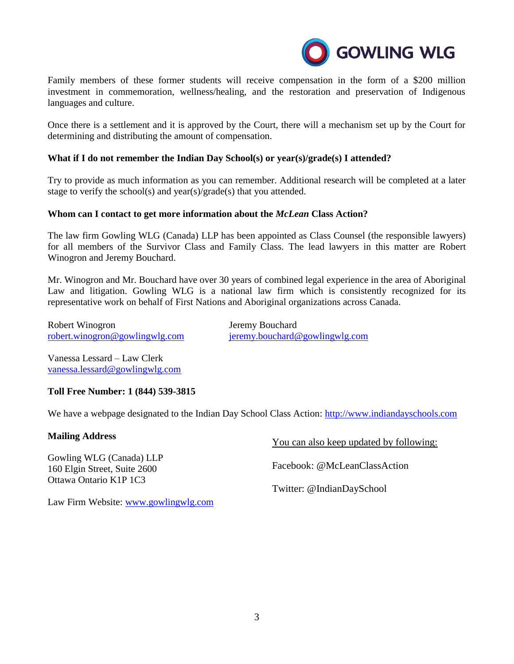

Family members of these former students will receive compensation in the form of a \$200 million investment in commemoration, wellness/healing, and the restoration and preservation of Indigenous languages and culture.

Once there is a settlement and it is approved by the Court, there will a mechanism set up by the Court for determining and distributing the amount of compensation.

# **What if I do not remember the Indian Day School(s) or year(s)/grade(s) I attended?**

Try to provide as much information as you can remember. Additional research will be completed at a later stage to verify the school(s) and year(s)/grade(s) that you attended.

# **Whom can I contact to get more information about the** *McLean* **Class Action?**

The law firm Gowling WLG (Canada) LLP has been appointed as Class Counsel (the responsible lawyers) for all members of the Survivor Class and Family Class. The lead lawyers in this matter are Robert Winogron and Jeremy Bouchard.

Mr. Winogron and Mr. Bouchard have over 30 years of combined legal experience in the area of Aboriginal Law and litigation. Gowling WLG is a national law firm which is consistently recognized for its representative work on behalf of First Nations and Aboriginal organizations across Canada.

Robert Winogron Jeremy Bouchard [robert.winogron@gowlingwlg.com](mailto:robert.winogron@gowlingwlg.com) [jeremy.bouchard@gowlingwlg.com](mailto:jeremy.bouchard@gowlingwlg.com)

Vanessa Lessard – Law Clerk [vanessa.lessard@gowlingwlg.com](mailto:vanessa.lessard@gowlingwlg.com)

# **Toll Free Number: 1 (844) 539-3815**

We have a webpage designated to the Indian Day School Class Action: [http://www.indiandayschools.com](http://www.indiandayschools.com/)

# **Mailing Address**

Gowling WLG (Canada) LLP 160 Elgin Street, Suite 2600 Ottawa Ontario K1P 1C3

You can also keep updated by following:

Facebook: @McLeanClassAction

Twitter: @IndianDaySchool

Law Firm Website: [www.gowlingwlg.com](http://www.gowlingwlg.com/)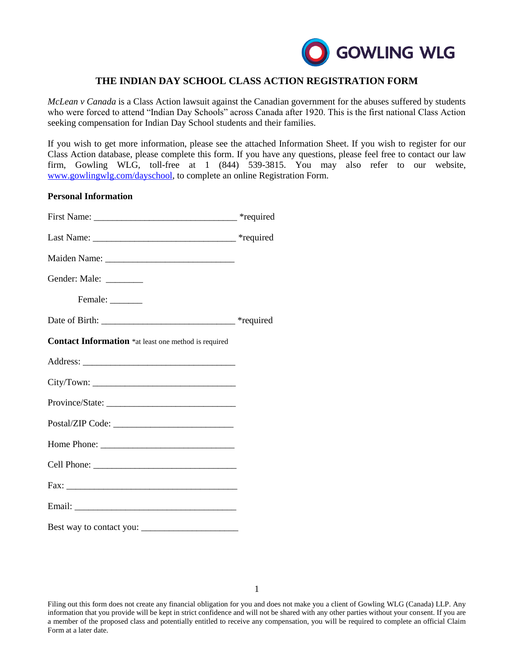

# **THE INDIAN DAY SCHOOL CLASS ACTION REGISTRATION FORM**

*McLean v Canada* is a Class Action lawsuit against the Canadian government for the abuses suffered by students who were forced to attend "Indian Day Schools" across Canada after 1920. This is the first national Class Action seeking compensation for Indian Day School students and their families.

If you wish to get more information, please see the attached Information Sheet. If you wish to register for our Class Action database, please complete this form. If you have any questions, please feel free to contact our law firm, Gowling WLG, toll-free at 1 (844) 539-3815. You may also refer to our website, [www.gowlingwlg.com/dayschool,](http://www.gowlingwlg.com/dayschool) to complete an online Registration Form.

#### **Personal Information**

| Gender: Male: ________                                      |  |
|-------------------------------------------------------------|--|
| Female: _______                                             |  |
|                                                             |  |
| <b>Contact Information</b> *at least one method is required |  |
|                                                             |  |
|                                                             |  |
|                                                             |  |
|                                                             |  |
|                                                             |  |
|                                                             |  |
|                                                             |  |
|                                                             |  |
|                                                             |  |

Filing out this form does not create any financial obligation for you and does not make you a client of Gowling WLG (Canada) LLP. Any information that you provide will be kept in strict confidence and will not be shared with any other parties without your consent. If you are a member of the proposed class and potentially entitled to receive any compensation, you will be required to complete an official Claim Form at a later date.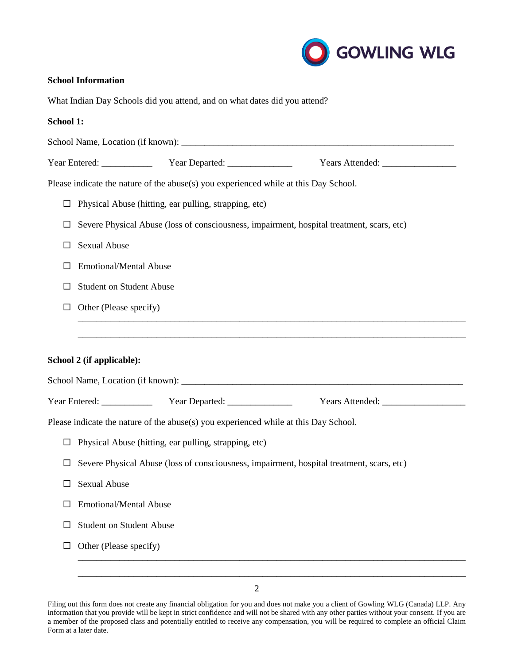

# **School Information**

What Indian Day Schools did you attend, and on what dates did you attend?

#### **School 1:**

|        |                                                                                           | Please indicate the nature of the abuse(s) you experienced while at this Day School. |                                                                                           |
|--------|-------------------------------------------------------------------------------------------|--------------------------------------------------------------------------------------|-------------------------------------------------------------------------------------------|
|        |                                                                                           | $\Box$ Physical Abuse (hitting, ear pulling, strapping, etc)                         |                                                                                           |
| ப      |                                                                                           |                                                                                      | Severe Physical Abuse (loss of consciousness, impairment, hospital treatment, scars, etc) |
| $\Box$ | Sexual Abuse                                                                              |                                                                                      |                                                                                           |
| ш      | <b>Emotional/Mental Abuse</b>                                                             |                                                                                      |                                                                                           |
| ш      | <b>Student on Student Abuse</b>                                                           |                                                                                      |                                                                                           |
| ப      | Other (Please specify)                                                                    |                                                                                      |                                                                                           |
|        |                                                                                           |                                                                                      |                                                                                           |
|        |                                                                                           |                                                                                      |                                                                                           |
|        | School 2 (if applicable):                                                                 |                                                                                      |                                                                                           |
|        |                                                                                           |                                                                                      |                                                                                           |
|        |                                                                                           |                                                                                      | Year Entered: Vear Departed: Vear Departed: Vears Attended: Vears Attended:               |
|        |                                                                                           | Please indicate the nature of the abuse(s) you experienced while at this Day School. |                                                                                           |
| $\Box$ | Physical Abuse (hitting, ear pulling, strapping, etc)                                     |                                                                                      |                                                                                           |
| $\Box$ | Severe Physical Abuse (loss of consciousness, impairment, hospital treatment, scars, etc) |                                                                                      |                                                                                           |
| Ш      | <b>Sexual Abuse</b>                                                                       |                                                                                      |                                                                                           |
| ш      | <b>Emotional/Mental Abuse</b>                                                             |                                                                                      |                                                                                           |
| ш      | <b>Student on Student Abuse</b>                                                           |                                                                                      |                                                                                           |
| $\Box$ | Other (Please specify)                                                                    |                                                                                      |                                                                                           |

Filing out this form does not create any financial obligation for you and does not make you a client of Gowling WLG (Canada) LLP. Any information that you provide will be kept in strict confidence and will not be shared with any other parties without your consent. If you are a member of the proposed class and potentially entitled to receive any compensation, you will be required to complete an official Claim Form at a later date.

\_\_\_\_\_\_\_\_\_\_\_\_\_\_\_\_\_\_\_\_\_\_\_\_\_\_\_\_\_\_\_\_\_\_\_\_\_\_\_\_\_\_\_\_\_\_\_\_\_\_\_\_\_\_\_\_\_\_\_\_\_\_\_\_\_\_\_\_\_\_\_\_\_\_\_\_\_\_\_\_\_\_\_\_ \_\_\_\_\_\_\_\_\_\_\_\_\_\_\_\_\_\_\_\_\_\_\_\_\_\_\_\_\_\_\_\_\_\_\_\_\_\_\_\_\_\_\_\_\_\_\_\_\_\_\_\_\_\_\_\_\_\_\_\_\_\_\_\_\_\_\_\_\_\_\_\_\_\_\_\_\_\_\_\_\_\_\_\_